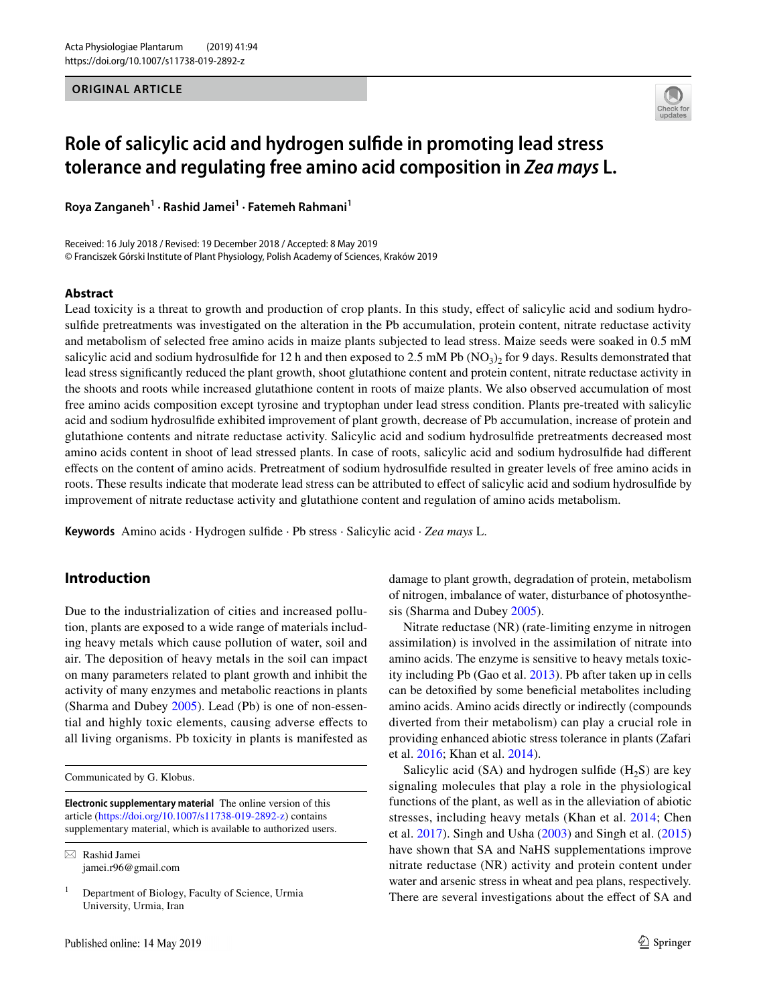**ORIGINAL ARTICLE**



# **Role of salicylic acid and hydrogen sulfde in promoting lead stress tolerance and regulating free amino acid composition in** *Zea mays* **L.**

**Roya Zanganeh1 · Rashid Jamei1 · Fatemeh Rahmani1**

Received: 16 July 2018 / Revised: 19 December 2018 / Accepted: 8 May 2019 © Franciszek Górski Institute of Plant Physiology, Polish Academy of Sciences, Kraków 2019

## **Abstract**

Lead toxicity is a threat to growth and production of crop plants. In this study, efect of salicylic acid and sodium hydrosulfde pretreatments was investigated on the alteration in the Pb accumulation, protein content, nitrate reductase activity and metabolism of selected free amino acids in maize plants subjected to lead stress. Maize seeds were soaked in 0.5 mM salicylic acid and sodium hydrosulfide for 12 h and then exposed to 2.5 mM Pb ( $NO<sub>3</sub>$ ), for 9 days. Results demonstrated that lead stress signifcantly reduced the plant growth, shoot glutathione content and protein content, nitrate reductase activity in the shoots and roots while increased glutathione content in roots of maize plants. We also observed accumulation of most free amino acids composition except tyrosine and tryptophan under lead stress condition. Plants pre-treated with salicylic acid and sodium hydrosulfde exhibited improvement of plant growth, decrease of Pb accumulation, increase of protein and glutathione contents and nitrate reductase activity. Salicylic acid and sodium hydrosulfde pretreatments decreased most amino acids content in shoot of lead stressed plants. In case of roots, salicylic acid and sodium hydrosulfde had diferent efects on the content of amino acids. Pretreatment of sodium hydrosulfde resulted in greater levels of free amino acids in roots. These results indicate that moderate lead stress can be attributed to efect of salicylic acid and sodium hydrosulfde by improvement of nitrate reductase activity and glutathione content and regulation of amino acids metabolism.

**Keywords** Amino acids · Hydrogen sulfde · Pb stress · Salicylic acid · *Zea mays* L.

## **Introduction**

Due to the industrialization of cities and increased pollution, plants are exposed to a wide range of materials including heavy metals which cause pollution of water, soil and air. The deposition of heavy metals in the soil can impact on many parameters related to plant growth and inhibit the activity of many enzymes and metabolic reactions in plants (Sharma and Dubey [2005](#page-8-0)). Lead (Pb) is one of non-essential and highly toxic elements, causing adverse efects to all living organisms. Pb toxicity in plants is manifested as

Communicated by G. Klobus.

**Electronic supplementary material** The online version of this article [\(https://doi.org/10.1007/s11738-019-2892-z](https://doi.org/10.1007/s11738-019-2892-z)) contains supplementary material, which is available to authorized users.

 $\boxtimes$  Rashid Jamei jamei.r96@gmail.com

 $1$  Department of Biology, Faculty of Science, Urmia University, Urmia, Iran

damage to plant growth, degradation of protein, metabolism of nitrogen, imbalance of water, disturbance of photosynthesis (Sharma and Dubey [2005](#page-8-0)).

Nitrate reductase (NR) (rate-limiting enzyme in nitrogen assimilation) is involved in the assimilation of nitrate into amino acids. The enzyme is sensitive to heavy metals toxicity including Pb (Gao et al. [2013](#page-8-1)). Pb after taken up in cells can be detoxifed by some benefcial metabolites including amino acids. Amino acids directly or indirectly (compounds diverted from their metabolism) can play a crucial role in providing enhanced abiotic stress tolerance in plants (Zafari et al. [2016](#page-8-2); Khan et al. [2014\)](#page-8-3).

Salicylic acid (SA) and hydrogen sulfide  $(H<sub>2</sub>S)$  are key signaling molecules that play a role in the physiological functions of the plant, as well as in the alleviation of abiotic stresses, including heavy metals (Khan et al. [2014;](#page-8-3) Chen et al. [2017](#page-7-0)). Singh and Usha [\(2003](#page-8-4)) and Singh et al. ([2015\)](#page-8-5) have shown that SA and NaHS supplementations improve nitrate reductase (NR) activity and protein content under water and arsenic stress in wheat and pea plans, respectively. There are several investigations about the effect of SA and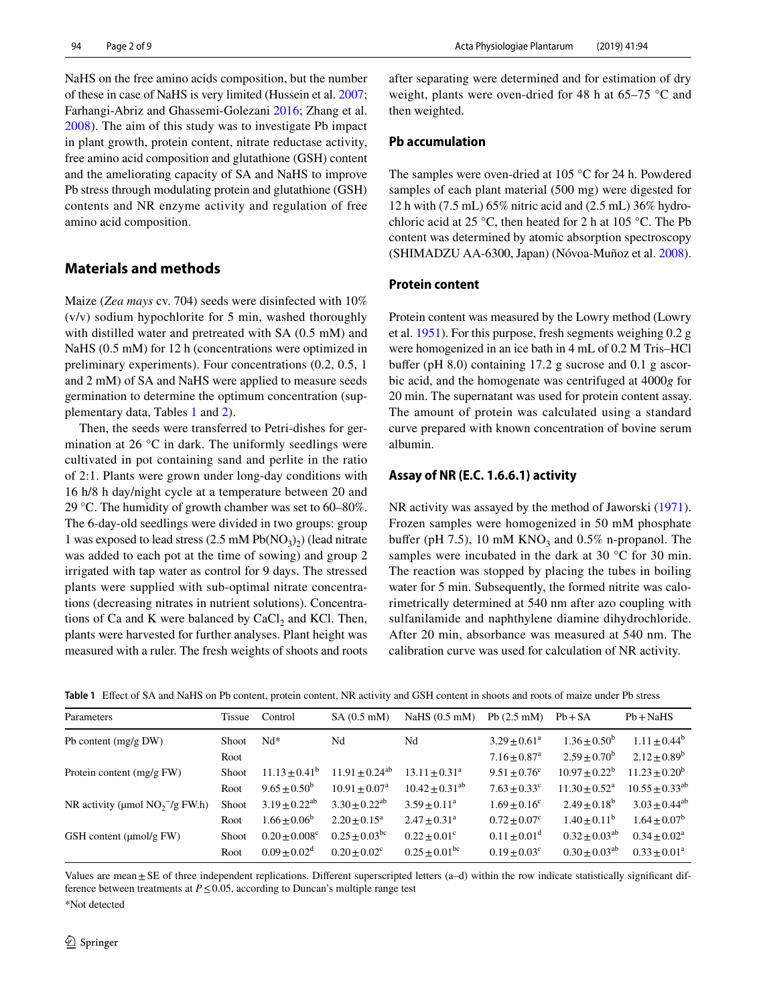NaHS on the free amino acids composition, but the number of these in case of NaHS is very limited (Hussein et al. [2007](#page-8-6); Farhangi-Abriz and Ghassemi-Golezani [2016](#page-8-7); Zhang et al. [2008](#page-8-8)). The aim of this study was to investigate Pb impact in plant growth, protein content, nitrate reductase activity, free amino acid composition and glutathione (GSH) content and the ameliorating capacity of SA and NaHS to improve Pb stress through modulating protein and glutathione (GSH) contents and NR enzyme activity and regulation of free amino acid composition.

#### **Materials and methods**

Maize (*Zea mays* cv. 704) seeds were disinfected with 10% (v/v) sodium hypochlorite for 5 min, washed thoroughly with distilled water and pretreated with SA (0.5 mM) and NaHS (0.5 mM) for 12 h (concentrations were optimized in preliminary experiments). Four concentrations (0.2, 0.5, 1 and 2 mM) of SA and NaHS were applied to measure seeds germination to determine the optimum concentration (supplementary data, Tables [1](#page-1-0) and [2\)](#page-2-0).

Then, the seeds were transferred to Petri-dishes for germination at 26 °C in dark. The uniformly seedlings were cultivated in pot containing sand and perlite in the ratio of 2:1. Plants were grown under long-day conditions with 16 h/8 h day/night cycle at a temperature between 20 and 29 °C. The humidity of growth chamber was set to 60–80%. The 6-day-old seedlings were divided in two groups: group 1 was exposed to lead stress  $(2.5 \text{ mM Pb} (NO<sub>3</sub>)<sub>2</sub>)$  (lead nitrate was added to each pot at the time of sowing) and group 2 irrigated with tap water as control for 9 days. The stressed plants were supplied with sub-optimal nitrate concentrations (decreasing nitrates in nutrient solutions). Concentrations of Ca and K were balanced by CaCl<sub>2</sub> and KCl. Then, plants were harvested for further analyses. Plant height was measured with a ruler. The fresh weights of shoots and roots after separating were determined and for estimation of dry weight, plants were oven-dried for 48 h at 65–75 °C and then weighted.

### **Pb accumulation**

The samples were oven-dried at 105 °C for 24 h. Powdered samples of each plant material (500 mg) were digested for 12 h with (7.5 mL) 65% nitric acid and (2.5 mL) 36% hydrochloric acid at 25 °C, then heated for 2 h at 105 °C. The Pb content was determined by atomic absorption spectroscopy (SHIMADZU AA-6300, Japan) (Nóvoa-Muñoz et al. [2008](#page-8-9)).

#### **Protein content**

Protein content was measured by the Lowry method (Lowry et al. [1951](#page-8-10)). For this purpose, fresh segments weighing 0.2 g were homogenized in an ice bath in 4 mL of 0.2 M Tris–HCl buffer (pH 8.0) containing 17.2 g sucrose and 0.1 g ascorbic acid, and the homogenate was centrifuged at 4000*g* for 20 min. The supernatant was used for protein content assay. The amount of protein was calculated using a standard curve prepared with known concentration of bovine serum albumin.

#### **Assay of NR (E.C. 1.6.6.1) activity**

NR activity was assayed by the method of Jaworski [\(1971](#page-8-11)). Frozen samples were homogenized in 50 mM phosphate buffer (pH 7.5), 10 mM  $KNO<sub>3</sub>$  and 0.5% n-propanol. The samples were incubated in the dark at 30 °C for 30 min. The reaction was stopped by placing the tubes in boiling water for 5 min. Subsequently, the formed nitrite was calorimetrically determined at 540 nm after azo coupling with sulfanilamide and naphthylene diamine dihydrochloride. After 20 min, absorbance was measured at 540 nm. The calibration curve was used for calculation of NR activity.

<span id="page-1-0"></span>

|  | Table 1 Effect of SA and NaHS on Pb content, protein content, NR activity and GSH content in shoots and roots of maize under Pb stress |  |  |  |  |  |  |  |  |  |
|--|----------------------------------------------------------------------------------------------------------------------------------------|--|--|--|--|--|--|--|--|--|
|--|----------------------------------------------------------------------------------------------------------------------------------------|--|--|--|--|--|--|--|--|--|

| Parameters                          | Tissue       | Control                       | $SA(0.5$ mM)                | NaHS $(0.5 \text{ mM})$     | Pb $(2.5 \text{ mM})$        | $Pb + SA$                   | $Pb + NaHS$           |
|-------------------------------------|--------------|-------------------------------|-----------------------------|-----------------------------|------------------------------|-----------------------------|-----------------------|
| Pb content $(mg/g)$ DW)             | Shoot        | $Nd*$                         | Nd                          | Nd                          | $3.29 \pm 0.61^a$            | $1.36 + 0.50^b$             | $1.11 \pm 0.44^b$     |
|                                     | Root         |                               |                             |                             | $7.16 \pm 0.87$ <sup>a</sup> | $2.59 + 0.70^b$             | $2.12 \pm 0.89^b$     |
| Protein content $(mg/g FW)$         | <b>Shoot</b> | $11.13 \pm 0.41^b$            | $11.91 + 0.24^{ab}$         | $13.11 + 0.31^a$            | $9.51 \pm 0.76$ <sup>c</sup> | $10.97 \pm 0.22^b$          | $11.23 + 0.20^b$      |
|                                     | Root         | $9.65 \pm 0.50^b$             | $10.91 \pm 0.07^{\text{a}}$ | $10.42 \pm 0.31^{ab}$       | $7.63 \pm 0.33$ <sup>c</sup> | $11.30 \pm 0.52^{\text{a}}$ | $10.55 \pm 0.33^{ab}$ |
| NR activity (µmol $NO_2^-$ /g FW.h) | Shoot        | $3.19 \pm 0.22^{ab}$          | $3.30 + 0.22^{ab}$          | $3.59 + 0.11^a$             | $1.69 + 0.16^c$              | $2.49 + 0.18^b$             | $3.03 \pm 0.44^{ab}$  |
|                                     | Root         | $1.66 \pm 0.06^b$             | $2.20 \pm 0.15^a$           | $2.47 + 0.31^a$             | $0.72 \pm 0.07^c$            | $1.40 + 0.11^b$             | $1.64 \pm 0.07^b$     |
| GSH content $(\mu \text{mol/g FW})$ | <b>Shoot</b> | $0.20 \pm 0.008$ <sup>c</sup> | $0.25 + 0.03$ <sup>bc</sup> | $0.22 \pm 0.01^c$           | $0.11 + 0.01^d$              | $0.32 \pm 0.03^{ab}$        | $0.34 + 0.02^a$       |
|                                     | Root         | $0.09 + 0.02^d$               | $0.20 + 0.02^c$             | $0.25 + 0.01$ <sup>bc</sup> | $0.19 + 0.03^{\circ}$        | $0.30 \pm 0.03^{ab}$        | $0.33 + 0.01^a$       |

Values are mean ± SE of three independent replications. Different superscripted letters (a–d) within the row indicate statistically significant difference between treatments at  $P \leq 0.05$ , according to Duncan's multiple range test

\*Not detected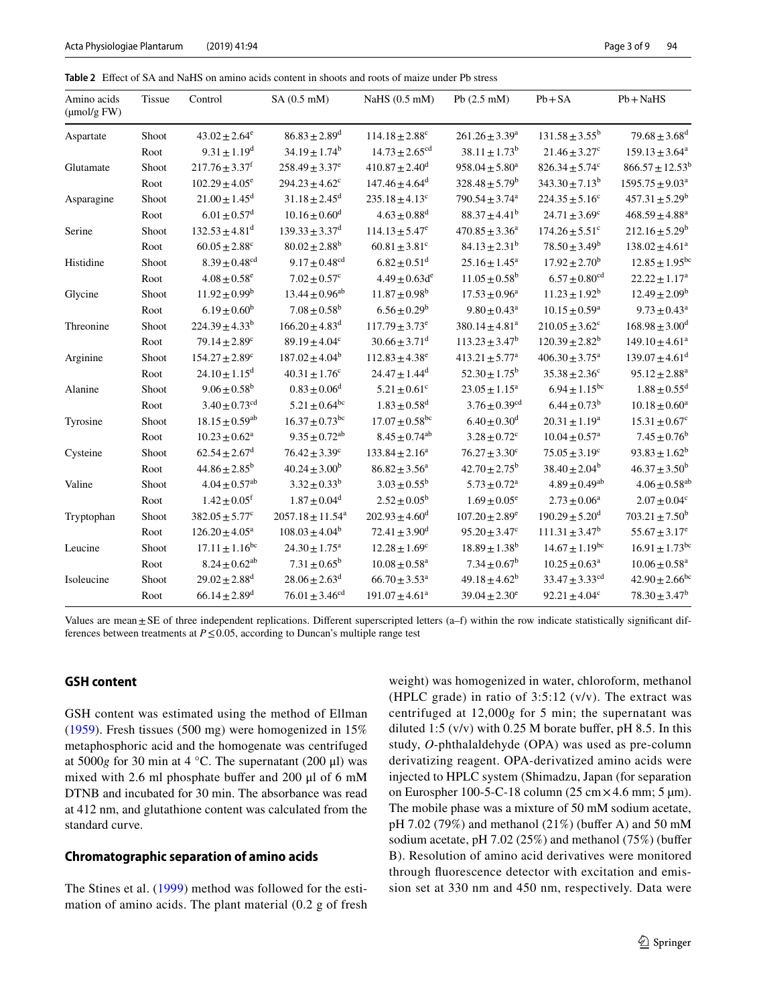<span id="page-2-0"></span>**Table 2** Efect of SA and NaHS on amino acids content in shoots and roots of maize under Pb stress

| Amino acids<br>$(\mu \text{mol/g FW})$ | <b>Tissue</b> | Control                        | $SA(0.5$ mM)                     | NaHS (0.5 mM)                  | Pb $(2.5 \text{ mM})$          | $Pb + SA$                      | $Pb + NaHS$                     |
|----------------------------------------|---------------|--------------------------------|----------------------------------|--------------------------------|--------------------------------|--------------------------------|---------------------------------|
| Aspartate                              | Shoot         | $43.02 \pm 2.64^e$             | $86.83 + 2.89^d$                 | $114.18 \pm 2.88$ <sup>c</sup> | $261.26 \pm 3.39^a$            | $131.58 + 3.55^b$              | $79.68 \pm 3.68$ <sup>d</sup>   |
|                                        | Root          | $9.31 \pm 1.19^d$              | $34.19 \pm 1.74^b$               | $14.73 + 2.65$ <sup>cd</sup>   | $38.11 + 1.73^b$               | $21.46 \pm 3.27$ °             | $159.13 \pm 3.64^a$             |
| Glutamate                              | Shoot         | $217.76 \pm 3.37$ <sup>f</sup> | $258.49 \pm 3.37^e$              | $410.87 \pm 2.40$ <sup>d</sup> | $958.04 \pm 5.80^a$            | $826.34 \pm 5.74$ <sup>c</sup> | $866.57 \pm 12.53$ <sup>t</sup> |
|                                        | Root          | $102.29 \pm 4.05^e$            | $294.23 \pm 4.62$ <sup>c</sup>   | $147.46 \pm 4.64$ <sup>d</sup> | $328.48 \pm 5.79^b$            | $343.30 \pm 7.13^b$            | $1595.75 \pm 9.03^a$            |
| Asparagine                             | Shoot         | $21.00 \pm 1.45$ <sup>d</sup>  | $31.18 \pm 2.45$ <sup>d</sup>    | $235.18 \pm 4.13$ <sup>c</sup> | $790.54 \pm 3.74$ <sup>a</sup> | $224.35 \pm 5.16^c$            | $457.31 \pm 5.29^b$             |
|                                        | Root          | $6.01 \pm 0.57$ <sup>d</sup>   | $10.16 \pm 0.60$ <sup>d</sup>    | $4.63 \pm 0.88$ <sup>d</sup>   | $88.37 \pm 4.41^b$             | $24.71 \pm 3.69^c$             | $468.59 \pm 4.88$ <sup>a</sup>  |
| Serine                                 | Shoot         | $132.53 \pm 4.81^{\text{d}}$   | $139.33 \pm 3.37^{\rm d}$        | $114.13 \pm 5.47^e$            | $470.85 \pm 3.36^a$            | $174.26 \pm 5.51$ <sup>c</sup> | $212.16 \pm 5.29^b$             |
|                                        | Root          | $60.05 + 2.88^{\circ}$         | $80.02 \pm 2.88^{\rm b}$         | $60.81 \pm 3.81$ <sup>c</sup>  | $84.13 \pm 2.31^b$             | $78.50 \pm 3.49^b$             | $138.02 \pm 4.61^a$             |
| Histidine                              | Shoot         | $8.39 \pm 0.48$ <sup>cd</sup>  | $9.17 \pm 0.48$ <sup>cd</sup>    | $6.82 \pm 0.51$ <sup>d</sup>   | $25.16 \pm 1.45^a$             | $17.92 \pm 2.70^{\rm b}$       | $12.85 \pm 1.95^{bc}$           |
|                                        | Root          | $4.08 \pm 0.58$ <sup>e</sup>   | $7.02 \pm 0.57$ <sup>c</sup>     | $4.49 \pm 0.63d^e$             | $11.05 \pm 0.58^{\rm b}$       | $6.57 \pm 0.80$ <sup>cd</sup>  | $22.22 \pm 1.17^a$              |
| Glycine                                | Shoot         | $11.92 \pm 0.99^b$             | $13.44 \pm 0.96^{ab}$            | $11.87 \pm 0.98^{\rm b}$       | $17.53 \pm 0.96^a$             | $11.23 \pm 1.92^b$             | $12.49 \pm 2.09^b$              |
|                                        | Root          | $6.19 + 0.60^b$                | $7.08 \pm 0.58^{\rm b}$          | $6.56 \pm 0.29^b$              | $9.80 \pm 0.43$ <sup>a</sup>   | $10.15 \pm 0.59^{\text{a}}$    | $9.73 \pm 0.43^a$               |
| Threonine                              | Shoot         | $224.39 \pm 4.33^b$            | $166.20 \pm 4.83$ <sup>d</sup>   | $117.79 \pm 3.73^e$            | $380.14 \pm 4.81$ <sup>a</sup> | $210.05 \pm 3.62^c$            | $168.98 \pm 3.00^{\mathrm{d}}$  |
|                                        | Root          | $79.14 \pm 2.89$ <sup>c</sup>  | $89.19 \pm 4.04$ <sup>c</sup>    | $30.66 \pm 3.71$ <sup>d</sup>  | $113.23 \pm 3.47^b$            | $120.39 \pm 2.82^b$            | $149.10 \pm 4.61^a$             |
| Arginine                               | Shoot         | $154.27 \pm 2.89$ <sup>c</sup> | $187.02 \pm 4.04^b$              | $112.83 \pm 4.38$ <sup>e</sup> | $413.21 \pm 5.77^a$            | $406.30 \pm 3.75^{\text{a}}$   | $139.07 \pm 4.61$ <sup>d</sup>  |
|                                        | Root          | $24.10 \pm 1.15$ <sup>d</sup>  | $40.31 \pm 1.76$ <sup>c</sup>    | $24.47 \pm 1.44$ <sup>d</sup>  | $52.30 \pm 1.75^b$             | $35.38 \pm 2.36^c$             | $95.12 \pm 2.88^a$              |
| Alanine                                | Shoot         | $9.06 \pm 0.58^{\rm b}$        | $0.83 \pm 0.06^d$                | $5.21 \pm 0.61$ <sup>c</sup>   | $23.05 \pm 1.15^a$             | $6.94 \pm 1.15^{bc}$           | $1.88 \pm 0.55$ <sup>d</sup>    |
|                                        | Root          | $3.40 \pm 0.73$ <sup>cd</sup>  | $5.21 \pm 0.64$ <sup>bc</sup>    | $1.83 \pm 0.58$ <sup>d</sup>   | $3.76 \pm 0.39$ <sup>cd</sup>  | $6.44 \pm 0.73^b$              | $10.18 \pm 0.60^a$              |
| Tyrosine                               | Shoot         | $18.15 \pm 0.59$ <sup>ab</sup> | $16.37 \pm 0.73$ <sup>bc</sup>   | $17.07 \pm 0.58$ <sup>bc</sup> | $6.40 \pm 0.30$ <sup>d</sup>   | $20.31 \pm 1.19^a$             | $15.31 \pm 0.67$ <sup>c</sup>   |
|                                        | Root          | $10.23 \pm 0.62^a$             | $9.35 \pm 0.72$ <sup>ab</sup>    | $8.45 \pm 0.74$ <sup>ab</sup>  | $3.28 \pm 0.72$ <sup>c</sup>   | $10.04 \pm 0.57$ <sup>a</sup>  | $7.45 \pm 0.76^b$               |
| Cysteine                               | Shoot         | $62.54 \pm 2.67$ <sup>d</sup>  | $76.42 \pm 3.39^c$               | $133.84 \pm 2.16^a$            | $76.27 \pm 3.30^c$             | $75.05 \pm 3.19^c$             | $93.83 \pm 1.62^b$              |
|                                        | Root          | $44.86 \pm 2.85^b$             | $40.24 \pm 3.00^b$               | $86.82 \pm 3.56^a$             | $42.70 \pm 2.75^{\rm b}$       | $38.40 \pm 2.04^b$             | $46.37 \pm 3.50^b$              |
| Valine                                 | Shoot         | $4.04 \pm 0.57$ <sup>ab</sup>  | $3.32 \pm 0.33^b$                | $3.03 \pm 0.55^b$              | $5.73 \pm 0.72$ <sup>a</sup>   | $4.89 \pm 0.49$ <sup>ab</sup>  | $4.06 \pm 0.58$ <sup>at</sup>   |
|                                        | Root          | $1.42 \pm 0.05$ <sup>f</sup>   | $1.87 \pm 0.04$ <sup>d</sup>     | $2.52 \pm 0.05^{\rm b}$        | $1.69 \pm 0.05^e$              | $2.73 \pm 0.06^a$              | $2.07 \pm 0.04$ <sup>c</sup>    |
| Tryptophan                             | Shoot         | $382.05 \pm 5.77$ <sup>c</sup> | $2057.18 \pm 11.54$ <sup>a</sup> | $202.93 \pm 4.60^{\mathrm{d}}$ | $107.20 \pm 2.89^e$            | $190.29 \pm 5.20$ <sup>d</sup> | $703.21 \pm 7.50^b$             |
|                                        | Root          | $126.20 \pm 4.05^a$            | $108.03 \pm 4.04^b$              | $72.41 \pm 3.90$ <sup>d</sup>  | $95.20 \pm 3.47^c$             | $111.31 \pm 3.47^b$            | $55.67 \pm 3.17^e$              |
| Leucine                                | Shoot         | $17.11 \pm 1.16$ <sup>bc</sup> | $24.30 \pm 1.75^{\text{a}}$      | $12.28 \pm 1.69$ <sup>c</sup>  | $18.89 \pm 1.38^{\rm b}$       | $14.67 \pm 1.19$ <sup>bc</sup> | $16.91 \pm 1.73$ <sup>bc</sup>  |
|                                        | Root          | $8.24 \pm 0.62^{ab}$           | $7.31 \pm 0.65^b$                | $10.08 \pm 0.58$ <sup>a</sup>  | $7.34 \pm 0.67^b$              | $10.25 \pm 0.63^a$             | $10.06 \pm 0.58$ <sup>a</sup>   |
| Isoleucine                             | Shoot         | $29.02 \pm 2.88$ <sup>d</sup>  | $28.06 \pm 2.63$ <sup>d</sup>    | $66.70 \pm 3.53^{\text{a}}$    | $49.18 \pm 4.62^b$             | $33.47 \pm 3.33$ <sup>cd</sup> | $42.90 \pm 2.66^{bc}$           |
|                                        | Root          | $66.14 \pm 2.89$ <sup>d</sup>  | $76.01 \pm 3.46^{cd}$            | $191.07 \pm 4.61^a$            | $39.04 \pm 2.30^e$             | $92.21 \pm 4.04$ <sup>c</sup>  | $78.30 \pm 3.47^b$              |

Values are mean±SE of three independent replications. Different superscripted letters (a–f) within the row indicate statistically significant differences between treatments at  $P \leq 0.05$ , according to Duncan's multiple range test

## **GSH content**

GSH content was estimated using the method of Ellman [\(1959\)](#page-7-1). Fresh tissues (500 mg) were homogenized in 15% metaphosphoric acid and the homogenate was centrifuged at 5000*g* for 30 min at 4 °C. The supernatant (200 μl) was mixed with 2.6 ml phosphate bufer and 200 μl of 6 mM DTNB and incubated for 30 min. The absorbance was read at 412 nm, and glutathione content was calculated from the standard curve.

#### **Chromatographic separation of amino acids**

The Stines et al. ([1999\)](#page-8-12) method was followed for the estimation of amino acids. The plant material (0.2 g of fresh weight) was homogenized in water, chloroform, methanol (HPLC grade) in ratio of  $3:5:12$  (v/v). The extract was centrifuged at 12,000*g* for 5 min; the supernatant was diluted 1:5  $(v/v)$  with 0.25 M borate buffer, pH 8.5. In this study, *O*-phthalaldehyde (OPA) was used as pre-column derivatizing reagent. OPA-derivatized amino acids were injected to HPLC system (Shimadzu, Japan (for separation on Eurospher 100-5-C-18 column (25 cm $\times$  4.6 mm; 5 µm). The mobile phase was a mixture of 50 mM sodium acetate, pH 7.02 (79%) and methanol (21%) (bufer A) and 50 mM sodium acetate, pH 7.02 (25%) and methanol (75%) (bufer B). Resolution of amino acid derivatives were monitored through fuorescence detector with excitation and emission set at 330 nm and 450 nm, respectively. Data were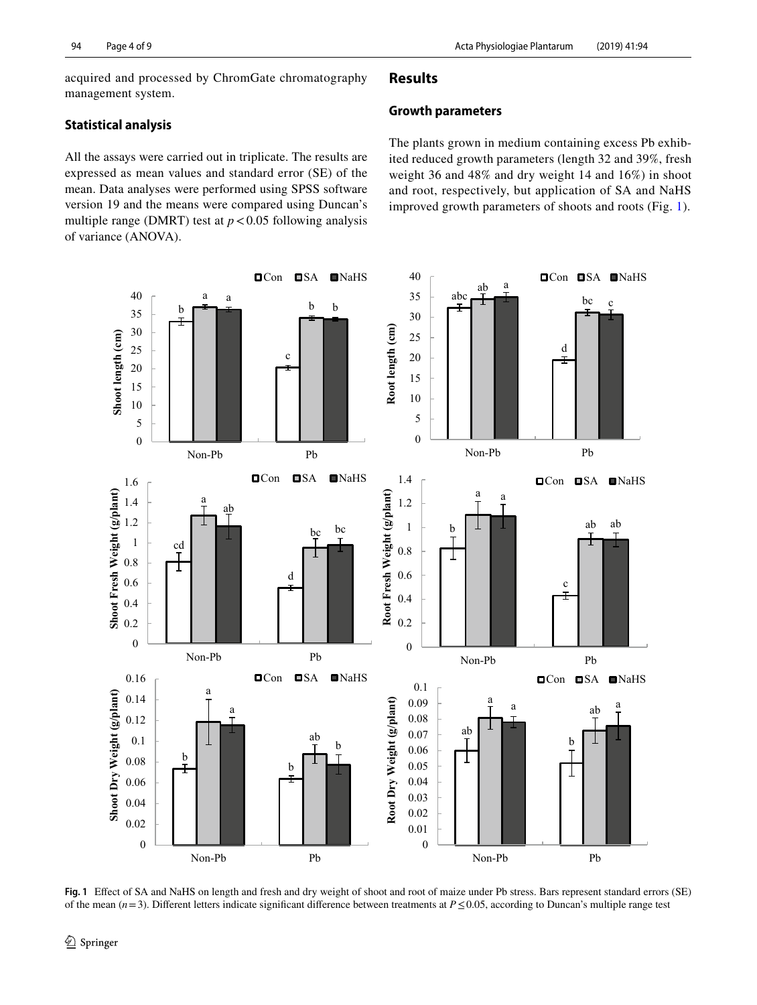acquired and processed by ChromGate chromatography management system.

## **Statistical analysis**

All the assays were carried out in triplicate. The results are expressed as mean values and standard error (SE) of the mean. Data analyses were performed using SPSS software version 19 and the means were compared using Duncan's multiple range (DMRT) test at  $p < 0.05$  following analysis of variance (ANOVA).

## **Results**

#### **Growth parameters**

The plants grown in medium containing excess Pb exhibited reduced growth parameters (length 32 and 39%, fresh weight 36 and 48% and dry weight 14 and 16%) in shoot and root, respectively, but application of SA and NaHS improved growth parameters of shoots and roots (Fig. [1](#page-3-0)).



<span id="page-3-0"></span>**Fig. 1** Efect of SA and NaHS on length and fresh and dry weight of shoot and root of maize under Pb stress. Bars represent standard errors (SE) of the mean (*n*=3). Diferent letters indicate signifcant diference between treatments at *P*≤0.05, according to Duncan's multiple range test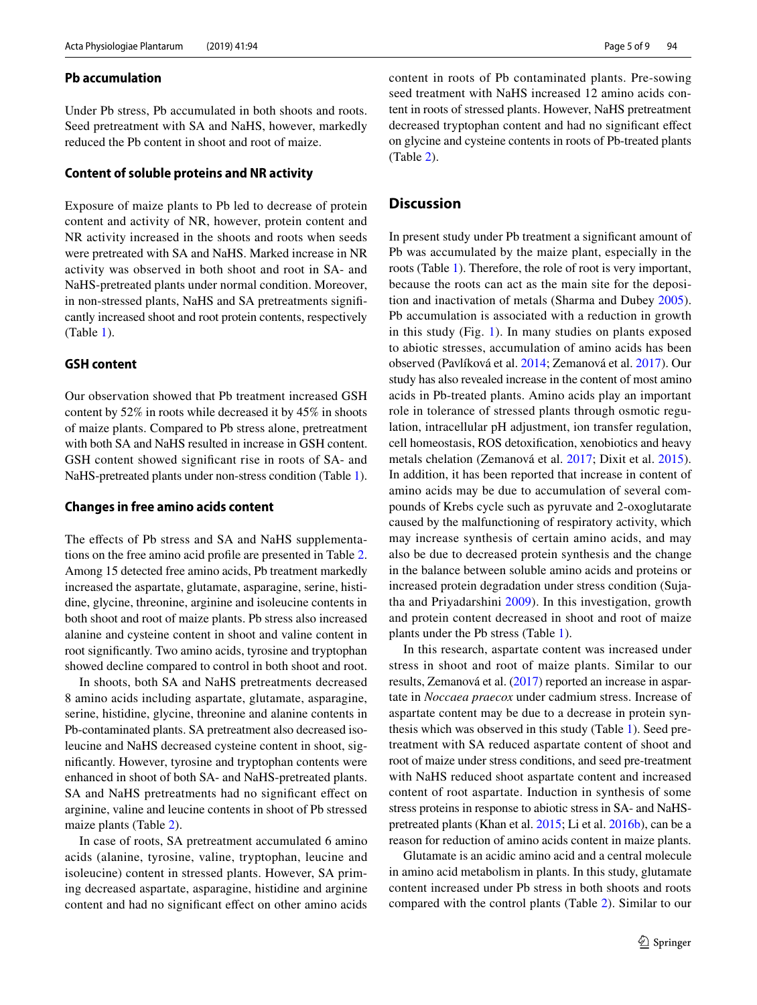## **Pb accumulation**

Under Pb stress, Pb accumulated in both shoots and roots. Seed pretreatment with SA and NaHS, however, markedly reduced the Pb content in shoot and root of maize.

#### **Content of soluble proteins and NR activity**

Exposure of maize plants to Pb led to decrease of protein content and activity of NR, however, protein content and NR activity increased in the shoots and roots when seeds were pretreated with SA and NaHS. Marked increase in NR activity was observed in both shoot and root in SA- and NaHS-pretreated plants under normal condition. Moreover, in non-stressed plants, NaHS and SA pretreatments signifcantly increased shoot and root protein contents, respectively (Table [1\)](#page-1-0).

#### **GSH content**

Our observation showed that Pb treatment increased GSH content by 52% in roots while decreased it by 45% in shoots of maize plants. Compared to Pb stress alone, pretreatment with both SA and NaHS resulted in increase in GSH content. GSH content showed signifcant rise in roots of SA- and NaHS-pretreated plants under non-stress condition (Table [1](#page-1-0)).

#### **Changes in free amino acids content**

The effects of Pb stress and SA and NaHS supplementations on the free amino acid profle are presented in Table [2.](#page-2-0) Among 15 detected free amino acids, Pb treatment markedly increased the aspartate, glutamate, asparagine, serine, histidine, glycine, threonine, arginine and isoleucine contents in both shoot and root of maize plants. Pb stress also increased alanine and cysteine content in shoot and valine content in root signifcantly. Two amino acids, tyrosine and tryptophan showed decline compared to control in both shoot and root.

In shoots, both SA and NaHS pretreatments decreased 8 amino acids including aspartate, glutamate, asparagine, serine, histidine, glycine, threonine and alanine contents in Pb-contaminated plants. SA pretreatment also decreased isoleucine and NaHS decreased cysteine content in shoot, signifcantly. However, tyrosine and tryptophan contents were enhanced in shoot of both SA- and NaHS-pretreated plants. SA and NaHS pretreatments had no significant effect on arginine, valine and leucine contents in shoot of Pb stressed maize plants (Table [2\)](#page-2-0).

In case of roots, SA pretreatment accumulated 6 amino acids (alanine, tyrosine, valine, tryptophan, leucine and isoleucine) content in stressed plants. However, SA priming decreased aspartate, asparagine, histidine and arginine content and had no signifcant efect on other amino acids content in roots of Pb contaminated plants. Pre-sowing seed treatment with NaHS increased 12 amino acids content in roots of stressed plants. However, NaHS pretreatment decreased tryptophan content and had no signifcant efect on glycine and cysteine contents in roots of Pb-treated plants (Table [2\)](#page-2-0).

## **Discussion**

In present study under Pb treatment a signifcant amount of Pb was accumulated by the maize plant, especially in the roots (Table [1](#page-1-0)). Therefore, the role of root is very important, because the roots can act as the main site for the deposition and inactivation of metals (Sharma and Dubey [2005](#page-8-0)). Pb accumulation is associated with a reduction in growth in this study (Fig. [1\)](#page-3-0). In many studies on plants exposed to abiotic stresses, accumulation of amino acids has been observed (Pavlíková et al. [2014](#page-8-13); Zemanová et al. [2017\)](#page-8-14). Our study has also revealed increase in the content of most amino acids in Pb-treated plants. Amino acids play an important role in tolerance of stressed plants through osmotic regulation, intracellular pH adjustment, ion transfer regulation, cell homeostasis, ROS detoxifcation, xenobiotics and heavy metals chelation (Zemanová et al. [2017](#page-8-14); Dixit et al. [2015](#page-7-2)). In addition, it has been reported that increase in content of amino acids may be due to accumulation of several compounds of Krebs cycle such as pyruvate and 2-oxoglutarate caused by the malfunctioning of respiratory activity, which may increase synthesis of certain amino acids, and may also be due to decreased protein synthesis and the change in the balance between soluble amino acids and proteins or increased protein degradation under stress condition (Sujatha and Priyadarshini [2009](#page-8-15)). In this investigation, growth and protein content decreased in shoot and root of maize plants under the Pb stress (Table [1\)](#page-1-0).

In this research, aspartate content was increased under stress in shoot and root of maize plants. Similar to our results, Zemanová et al. [\(2017\)](#page-8-14) reported an increase in aspartate in *Noccaea praecox* under cadmium stress. Increase of aspartate content may be due to a decrease in protein synthesis which was observed in this study (Table [1](#page-1-0)). Seed pretreatment with SA reduced aspartate content of shoot and root of maize under stress conditions, and seed pre-treatment with NaHS reduced shoot aspartate content and increased content of root aspartate. Induction in synthesis of some stress proteins in response to abiotic stress in SA- and NaHSpretreated plants (Khan et al. [2015](#page-8-16); Li et al. [2016b](#page-8-17)), can be a reason for reduction of amino acids content in maize plants.

Glutamate is an acidic amino acid and a central molecule in amino acid metabolism in plants. In this study, glutamate content increased under Pb stress in both shoots and roots compared with the control plants (Table [2](#page-2-0)). Similar to our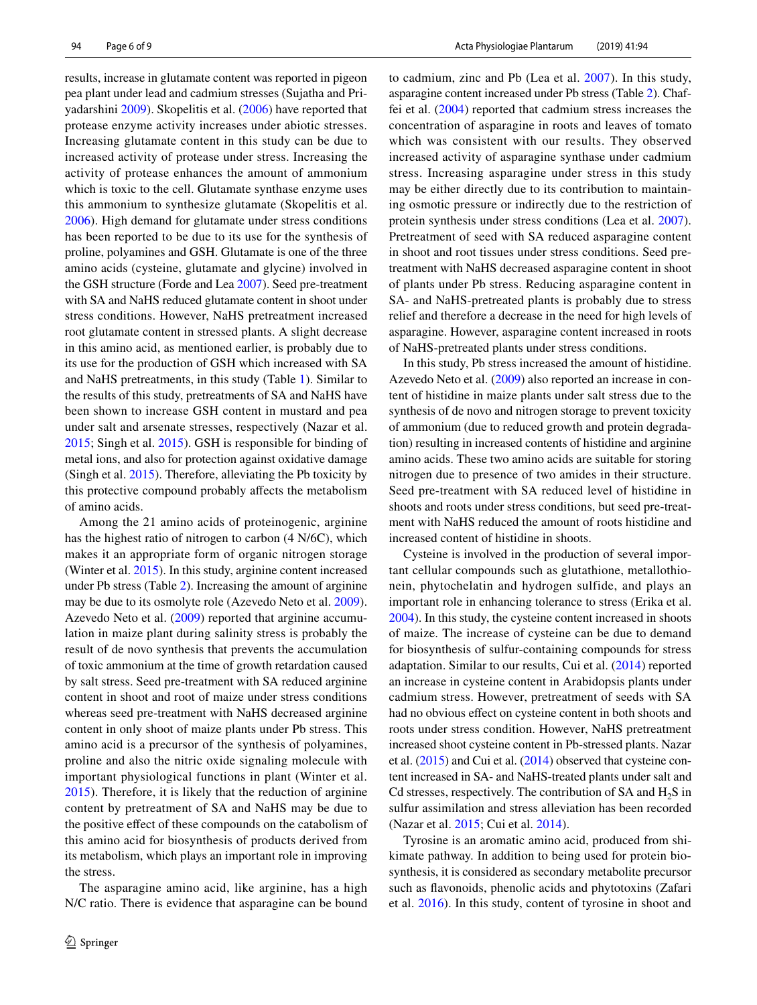results, increase in glutamate content was reported in pigeon pea plant under lead and cadmium stresses (Sujatha and Priyadarshini [2009](#page-8-15)). Skopelitis et al. [\(2006](#page-8-18)) have reported that protease enzyme activity increases under abiotic stresses. Increasing glutamate content in this study can be due to increased activity of protease under stress. Increasing the activity of protease enhances the amount of ammonium which is toxic to the cell. Glutamate synthase enzyme uses this ammonium to synthesize glutamate (Skopelitis et al. [2006](#page-8-18)). High demand for glutamate under stress conditions has been reported to be due to its use for the synthesis of proline, polyamines and GSH. Glutamate is one of the three amino acids (cysteine, glutamate and glycine) involved in the GSH structure (Forde and Lea [2007](#page-8-19)). Seed pre-treatment with SA and NaHS reduced glutamate content in shoot under stress conditions. However, NaHS pretreatment increased root glutamate content in stressed plants. A slight decrease in this amino acid, as mentioned earlier, is probably due to its use for the production of GSH which increased with SA and NaHS pretreatments, in this study (Table [1\)](#page-1-0). Similar to the results of this study, pretreatments of SA and NaHS have been shown to increase GSH content in mustard and pea under salt and arsenate stresses, respectively (Nazar et al. [2015](#page-8-20); Singh et al. [2015\)](#page-8-5). GSH is responsible for binding of metal ions, and also for protection against oxidative damage (Singh et al. [2015\)](#page-8-5). Therefore, alleviating the Pb toxicity by this protective compound probably afects the metabolism of amino acids.

Among the 21 amino acids of proteinogenic, arginine has the highest ratio of nitrogen to carbon (4 N/6C), which makes it an appropriate form of organic nitrogen storage (Winter et al. [2015](#page-8-21)). In this study, arginine content increased under Pb stress (Table [2\)](#page-2-0). Increasing the amount of arginine may be due to its osmolyte role (Azevedo Neto et al. [2009](#page-7-3)). Azevedo Neto et al. [\(2009\)](#page-7-3) reported that arginine accumulation in maize plant during salinity stress is probably the result of de novo synthesis that prevents the accumulation of toxic ammonium at the time of growth retardation caused by salt stress. Seed pre-treatment with SA reduced arginine content in shoot and root of maize under stress conditions whereas seed pre-treatment with NaHS decreased arginine content in only shoot of maize plants under Pb stress. This amino acid is a precursor of the synthesis of polyamines, proline and also the nitric oxide signaling molecule with important physiological functions in plant (Winter et al. [2015](#page-8-21)). Therefore, it is likely that the reduction of arginine content by pretreatment of SA and NaHS may be due to the positive efect of these compounds on the catabolism of this amino acid for biosynthesis of products derived from its metabolism, which plays an important role in improving the stress.

The asparagine amino acid, like arginine, has a high N/C ratio. There is evidence that asparagine can be bound to cadmium, zinc and Pb (Lea et al. [2007\)](#page-8-22). In this study, asparagine content increased under Pb stress (Table [2\)](#page-2-0). Chaffei et al. [\(2004\)](#page-7-4) reported that cadmium stress increases the concentration of asparagine in roots and leaves of tomato which was consistent with our results. They observed increased activity of asparagine synthase under cadmium stress. Increasing asparagine under stress in this study may be either directly due to its contribution to maintaining osmotic pressure or indirectly due to the restriction of protein synthesis under stress conditions (Lea et al. [2007](#page-8-22)). Pretreatment of seed with SA reduced asparagine content in shoot and root tissues under stress conditions. Seed pretreatment with NaHS decreased asparagine content in shoot of plants under Pb stress. Reducing asparagine content in SA- and NaHS-pretreated plants is probably due to stress relief and therefore a decrease in the need for high levels of asparagine. However, asparagine content increased in roots of NaHS-pretreated plants under stress conditions.

In this study, Pb stress increased the amount of histidine. Azevedo Neto et al. ([2009\)](#page-7-3) also reported an increase in content of histidine in maize plants under salt stress due to the synthesis of de novo and nitrogen storage to prevent toxicity of ammonium (due to reduced growth and protein degradation) resulting in increased contents of histidine and arginine amino acids. These two amino acids are suitable for storing nitrogen due to presence of two amides in their structure. Seed pre-treatment with SA reduced level of histidine in shoots and roots under stress conditions, but seed pre-treatment with NaHS reduced the amount of roots histidine and increased content of histidine in shoots.

Cysteine is involved in the production of several important cellular compounds such as glutathione, metallothionein, phytochelatin and hydrogen sulfide, and plays an important role in enhancing tolerance to stress (Erika et al. [2004](#page-8-23)). In this study, the cysteine content increased in shoots of maize. The increase of cysteine can be due to demand for biosynthesis of sulfur-containing compounds for stress adaptation. Similar to our results, Cui et al. ([2014\)](#page-7-5) reported an increase in cysteine content in Arabidopsis plants under cadmium stress. However, pretreatment of seeds with SA had no obvious efect on cysteine content in both shoots and roots under stress condition. However, NaHS pretreatment increased shoot cysteine content in Pb-stressed plants. Nazar et al. [\(2015](#page-8-20)) and Cui et al. ([2014](#page-7-5)) observed that cysteine content increased in SA- and NaHS-treated plants under salt and Cd stresses, respectively. The contribution of SA and  $H_2S$  in sulfur assimilation and stress alleviation has been recorded (Nazar et al. [2015](#page-8-20); Cui et al. [2014](#page-7-5)).

Tyrosine is an aromatic amino acid, produced from shikimate pathway. In addition to being used for protein biosynthesis, it is considered as secondary metabolite precursor such as favonoids, phenolic acids and phytotoxins (Zafari et al. [2016](#page-8-2)). In this study, content of tyrosine in shoot and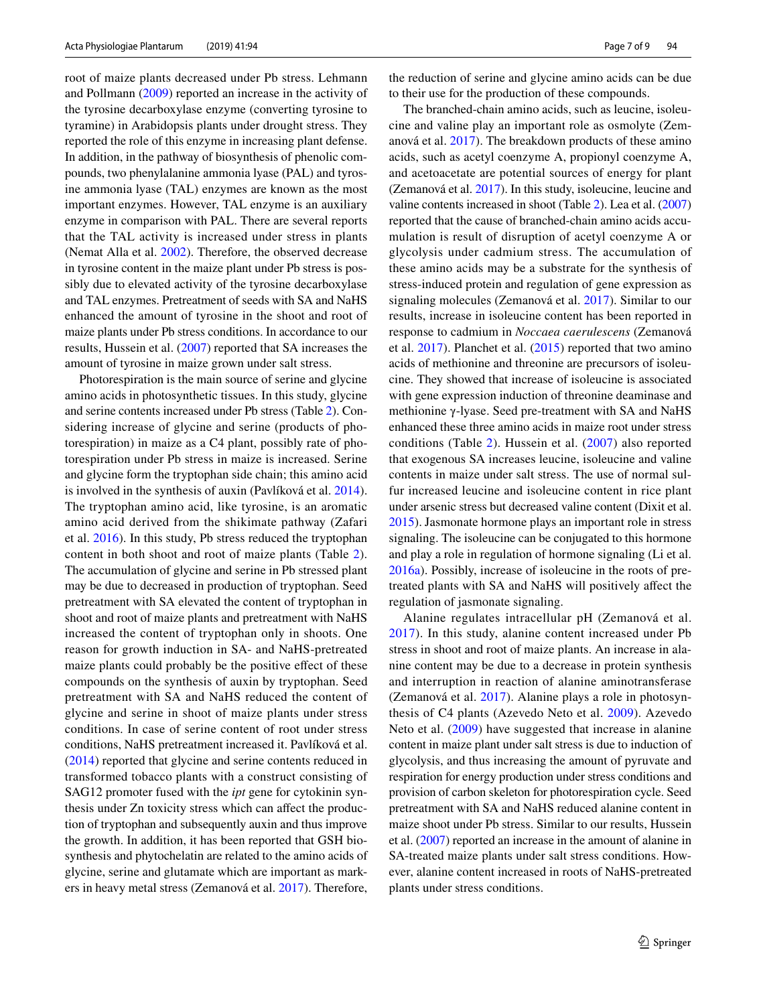root of maize plants decreased under Pb stress. Lehmann and Pollmann ([2009\)](#page-8-24) reported an increase in the activity of the tyrosine decarboxylase enzyme (converting tyrosine to tyramine) in Arabidopsis plants under drought stress. They reported the role of this enzyme in increasing plant defense. In addition, in the pathway of biosynthesis of phenolic compounds, two phenylalanine ammonia lyase (PAL) and tyrosine ammonia lyase (TAL) enzymes are known as the most important enzymes. However, TAL enzyme is an auxiliary enzyme in comparison with PAL. There are several reports that the TAL activity is increased under stress in plants (Nemat Alla et al. [2002\)](#page-8-25). Therefore, the observed decrease in tyrosine content in the maize plant under Pb stress is possibly due to elevated activity of the tyrosine decarboxylase and TAL enzymes. Pretreatment of seeds with SA and NaHS enhanced the amount of tyrosine in the shoot and root of maize plants under Pb stress conditions. In accordance to our results, Hussein et al. [\(2007\)](#page-8-6) reported that SA increases the amount of tyrosine in maize grown under salt stress.

Photorespiration is the main source of serine and glycine amino acids in photosynthetic tissues. In this study, glycine and serine contents increased under Pb stress (Table [2](#page-2-0)). Considering increase of glycine and serine (products of photorespiration) in maize as a C4 plant, possibly rate of photorespiration under Pb stress in maize is increased. Serine and glycine form the tryptophan side chain; this amino acid is involved in the synthesis of auxin (Pavlíková et al. [2014](#page-8-13)). The tryptophan amino acid, like tyrosine, is an aromatic amino acid derived from the shikimate pathway (Zafari et al. [2016\)](#page-8-2). In this study, Pb stress reduced the tryptophan content in both shoot and root of maize plants (Table [2](#page-2-0)). The accumulation of glycine and serine in Pb stressed plant may be due to decreased in production of tryptophan. Seed pretreatment with SA elevated the content of tryptophan in shoot and root of maize plants and pretreatment with NaHS increased the content of tryptophan only in shoots. One reason for growth induction in SA- and NaHS-pretreated maize plants could probably be the positive efect of these compounds on the synthesis of auxin by tryptophan. Seed pretreatment with SA and NaHS reduced the content of glycine and serine in shoot of maize plants under stress conditions. In case of serine content of root under stress conditions, NaHS pretreatment increased it. Pavlíková et al. [\(2014\)](#page-8-13) reported that glycine and serine contents reduced in transformed tobacco plants with a construct consisting of SAG12 promoter fused with the *ipt* gene for cytokinin synthesis under Zn toxicity stress which can afect the production of tryptophan and subsequently auxin and thus improve the growth. In addition, it has been reported that GSH biosynthesis and phytochelatin are related to the amino acids of glycine, serine and glutamate which are important as markers in heavy metal stress (Zemanová et al. [2017](#page-8-14)). Therefore, the reduction of serine and glycine amino acids can be due to their use for the production of these compounds.

The branched-chain amino acids, such as leucine, isoleucine and valine play an important role as osmolyte (Zemanová et al. [2017](#page-8-14)). The breakdown products of these amino acids, such as acetyl coenzyme A, propionyl coenzyme A, and acetoacetate are potential sources of energy for plant (Zemanová et al. [2017\)](#page-8-14). In this study, isoleucine, leucine and valine contents increased in shoot (Table [2](#page-2-0)). Lea et al. [\(2007\)](#page-8-22) reported that the cause of branched-chain amino acids accumulation is result of disruption of acetyl coenzyme A or glycolysis under cadmium stress. The accumulation of these amino acids may be a substrate for the synthesis of stress-induced protein and regulation of gene expression as signaling molecules (Zemanová et al. [2017\)](#page-8-14). Similar to our results, increase in isoleucine content has been reported in response to cadmium in *Noccaea caerulescens* (Zemanová et al. [2017\)](#page-8-14). Planchet et al. ([2015\)](#page-8-26) reported that two amino acids of methionine and threonine are precursors of isoleucine. They showed that increase of isoleucine is associated with gene expression induction of threonine deaminase and methionine γ-lyase. Seed pre-treatment with SA and NaHS enhanced these three amino acids in maize root under stress conditions (Table [2](#page-2-0)). Hussein et al. ([2007\)](#page-8-6) also reported that exogenous SA increases leucine, isoleucine and valine contents in maize under salt stress. The use of normal sulfur increased leucine and isoleucine content in rice plant under arsenic stress but decreased valine content (Dixit et al. [2015](#page-7-2)). Jasmonate hormone plays an important role in stress signaling. The isoleucine can be conjugated to this hormone and play a role in regulation of hormone signaling (Li et al. [2016a\)](#page-8-27). Possibly, increase of isoleucine in the roots of pretreated plants with SA and NaHS will positively afect the regulation of jasmonate signaling.

Alanine regulates intracellular pH (Zemanová et al. [2017\)](#page-8-14). In this study, alanine content increased under Pb stress in shoot and root of maize plants. An increase in alanine content may be due to a decrease in protein synthesis and interruption in reaction of alanine aminotransferase (Zemanová et al. [2017](#page-8-14)). Alanine plays a role in photosynthesis of C4 plants (Azevedo Neto et al. [2009\)](#page-7-3). Azevedo Neto et al. ([2009](#page-7-3)) have suggested that increase in alanine content in maize plant under salt stress is due to induction of glycolysis, and thus increasing the amount of pyruvate and respiration for energy production under stress conditions and provision of carbon skeleton for photorespiration cycle. Seed pretreatment with SA and NaHS reduced alanine content in maize shoot under Pb stress. Similar to our results, Hussein et al. ([2007\)](#page-8-6) reported an increase in the amount of alanine in SA-treated maize plants under salt stress conditions. However, alanine content increased in roots of NaHS-pretreated plants under stress conditions.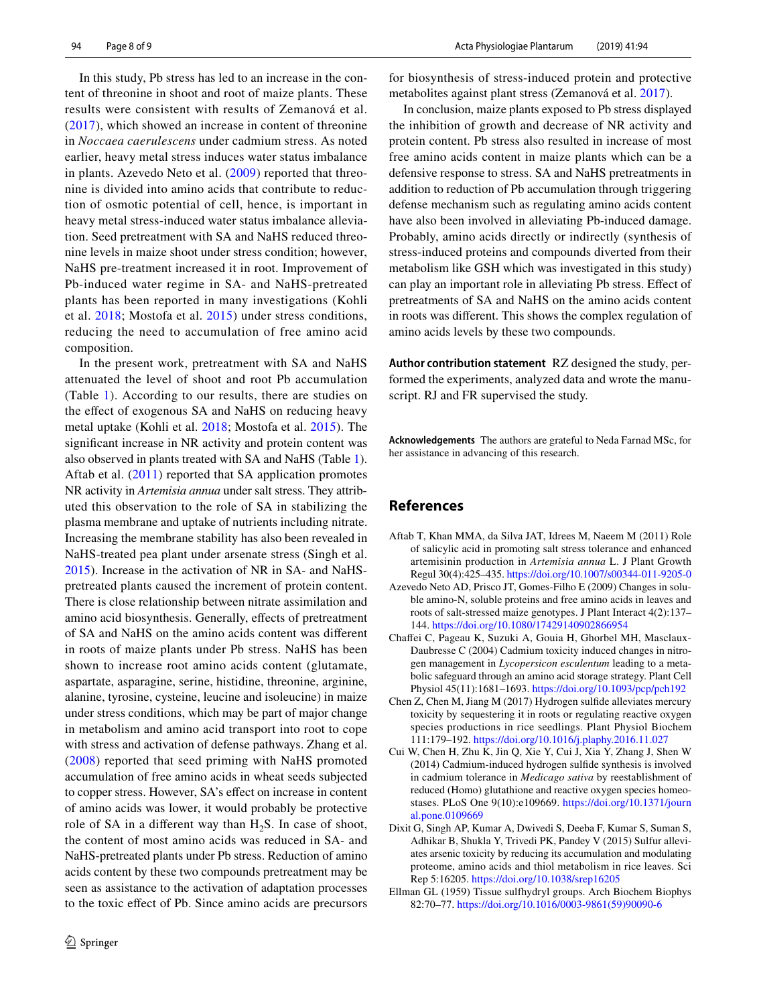In this study, Pb stress has led to an increase in the content of threonine in shoot and root of maize plants. These results were consistent with results of Zemanová et al. ([2017](#page-8-14)), which showed an increase in content of threonine in *Noccaea caerulescens* under cadmium stress. As noted earlier, heavy metal stress induces water status imbalance in plants. Azevedo Neto et al. ([2009\)](#page-7-3) reported that threonine is divided into amino acids that contribute to reduction of osmotic potential of cell, hence, is important in heavy metal stress-induced water status imbalance alleviation. Seed pretreatment with SA and NaHS reduced threonine levels in maize shoot under stress condition; however, NaHS pre-treatment increased it in root. Improvement of Pb-induced water regime in SA- and NaHS-pretreated plants has been reported in many investigations (Kohli et al. [2018;](#page-8-28) Mostofa et al. [2015](#page-8-29)) under stress conditions, reducing the need to accumulation of free amino acid composition.

In the present work, pretreatment with SA and NaHS attenuated the level of shoot and root Pb accumulation (Table [1\)](#page-1-0). According to our results, there are studies on the efect of exogenous SA and NaHS on reducing heavy metal uptake (Kohli et al. [2018](#page-8-28); Mostofa et al. [2015\)](#page-8-29). The signifcant increase in NR activity and protein content was also observed in plants treated with SA and NaHS (Table [1](#page-1-0)). Aftab et al. [\(2011\)](#page-7-6) reported that SA application promotes NR activity in *Artemisia annua* under salt stress. They attributed this observation to the role of SA in stabilizing the plasma membrane and uptake of nutrients including nitrate. Increasing the membrane stability has also been revealed in NaHS-treated pea plant under arsenate stress (Singh et al. [2015](#page-8-5)). Increase in the activation of NR in SA- and NaHSpretreated plants caused the increment of protein content. There is close relationship between nitrate assimilation and amino acid biosynthesis. Generally, efects of pretreatment of SA and NaHS on the amino acids content was diferent in roots of maize plants under Pb stress. NaHS has been shown to increase root amino acids content (glutamate, aspartate, asparagine, serine, histidine, threonine, arginine, alanine, tyrosine, cysteine, leucine and isoleucine) in maize under stress conditions, which may be part of major change in metabolism and amino acid transport into root to cope with stress and activation of defense pathways. Zhang et al. ([2008](#page-8-8)) reported that seed priming with NaHS promoted accumulation of free amino acids in wheat seeds subjected to copper stress. However, SA's efect on increase in content of amino acids was lower, it would probably be protective role of SA in a different way than  $H_2S$ . In case of shoot, the content of most amino acids was reduced in SA- and NaHS-pretreated plants under Pb stress. Reduction of amino acids content by these two compounds pretreatment may be seen as assistance to the activation of adaptation processes to the toxic efect of Pb. Since amino acids are precursors for biosynthesis of stress-induced protein and protective metabolites against plant stress (Zemanová et al. [2017\)](#page-8-14).

In conclusion, maize plants exposed to Pb stress displayed the inhibition of growth and decrease of NR activity and protein content. Pb stress also resulted in increase of most free amino acids content in maize plants which can be a defensive response to stress. SA and NaHS pretreatments in addition to reduction of Pb accumulation through triggering defense mechanism such as regulating amino acids content have also been involved in alleviating Pb-induced damage. Probably, amino acids directly or indirectly (synthesis of stress-induced proteins and compounds diverted from their metabolism like GSH which was investigated in this study) can play an important role in alleviating Pb stress. Efect of pretreatments of SA and NaHS on the amino acids content in roots was diferent. This shows the complex regulation of amino acids levels by these two compounds.

**Author contribution statement** RZ designed the study, performed the experiments, analyzed data and wrote the manuscript. RJ and FR supervised the study.

**Acknowledgements** The authors are grateful to Neda Farnad MSc, for her assistance in advancing of this research.

## **References**

- <span id="page-7-6"></span>Aftab T, Khan MMA, da Silva JAT, Idrees M, Naeem M (2011) Role of salicylic acid in promoting salt stress tolerance and enhanced artemisinin production in *Artemisia annua* L. J Plant Growth Regul 30(4):425–435.<https://doi.org/10.1007/s00344-011-9205-0>
- <span id="page-7-3"></span>Azevedo Neto AD, Prisco JT, Gomes-Filho E (2009) Changes in soluble amino-N, soluble proteins and free amino acids in leaves and roots of salt-stressed maize genotypes. J Plant Interact 4(2):137– 144.<https://doi.org/10.1080/17429140902866954>
- <span id="page-7-4"></span>Chafei C, Pageau K, Suzuki A, Gouia H, Ghorbel MH, Masclaux-Daubresse C (2004) Cadmium toxicity induced changes in nitrogen management in *Lycopersicon esculentum* leading to a metabolic safeguard through an amino acid storage strategy. Plant Cell Physiol 45(11):1681–1693. <https://doi.org/10.1093/pcp/pch192>
- <span id="page-7-0"></span>Chen Z, Chen M, Jiang M (2017) Hydrogen sulfde alleviates mercury toxicity by sequestering it in roots or regulating reactive oxygen species productions in rice seedlings. Plant Physiol Biochem 111:179–192. <https://doi.org/10.1016/j.plaphy.2016.11.027>
- <span id="page-7-5"></span>Cui W, Chen H, Zhu K, Jin Q, Xie Y, Cui J, Xia Y, Zhang J, Shen W (2014) Cadmium-induced hydrogen sulfde synthesis is involved in cadmium tolerance in *Medicago sativa* by reestablishment of reduced (Homo) glutathione and reactive oxygen species homeostases. PLoS One 9(10):e109669. [https://doi.org/10.1371/journ](https://doi.org/10.1371/journal.pone.0109669) [al.pone.0109669](https://doi.org/10.1371/journal.pone.0109669)
- <span id="page-7-2"></span>Dixit G, Singh AP, Kumar A, Dwivedi S, Deeba F, Kumar S, Suman S, Adhikar B, Shukla Y, Trivedi PK, Pandey V (2015) Sulfur alleviates arsenic toxicity by reducing its accumulation and modulating proteome, amino acids and thiol metabolism in rice leaves. Sci Rep 5:16205.<https://doi.org/10.1038/srep16205>
- <span id="page-7-1"></span>Ellman GL (1959) Tissue sulfhydryl groups. Arch Biochem Biophys 82:70–77. [https://doi.org/10.1016/0003-9861\(59\)90090-6](https://doi.org/10.1016/0003-9861(59)90090-6)